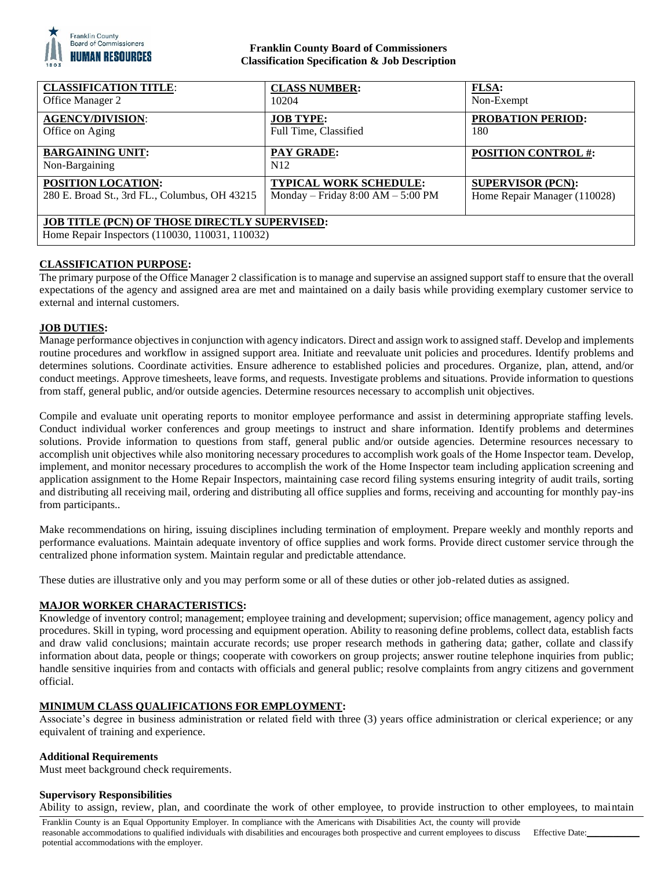

### **Franklin County Board of Commissioners Classification Specification & Job Description**

| <b>CLASSIFICATION TITLE:</b>                                                                            | <b>CLASS NUMBER:</b>                | <b>FLSA:</b>                 |
|---------------------------------------------------------------------------------------------------------|-------------------------------------|------------------------------|
| Office Manager 2                                                                                        | 10204                               | Non-Exempt                   |
| <b>AGENCY/DIVISION:</b>                                                                                 | <b>JOB TYPE:</b>                    | <b>PROBATION PERIOD:</b>     |
| Office on Aging                                                                                         | Full Time, Classified               | 180                          |
| <b>BARGAINING UNIT:</b><br>Non-Bargaining                                                               | PAY GRADE:<br>N <sub>12</sub>       | <b>POSITION CONTROL #:</b>   |
| POSITION LOCATION:                                                                                      | <b>TYPICAL WORK SCHEDULE:</b>       | <b>SUPERVISOR (PCN):</b>     |
| 280 E. Broad St., 3rd FL., Columbus, OH 43215                                                           | Monday – Friday $8:00 AM - 5:00 PM$ | Home Repair Manager (110028) |
| <b>JOB TITLE (PCN) OF THOSE DIRECTLY SUPERVISED:</b><br>Home Repair Inspectors (110030, 110031, 110032) |                                     |                              |

# **CLASSIFICATION PURPOSE:**

The primary purpose of the Office Manager 2 classification is to manage and supervise an assigned support staff to ensure that the overall expectations of the agency and assigned area are met and maintained on a daily basis while providing exemplary customer service to external and internal customers.

# **JOB DUTIES:**

Manage performance objectives in conjunction with agency indicators. Direct and assign work to assigned staff. Develop and implements routine procedures and workflow in assigned support area. Initiate and reevaluate unit policies and procedures. Identify problems and determines solutions. Coordinate activities. Ensure adherence to established policies and procedures. Organize, plan, attend, and/or conduct meetings. Approve timesheets, leave forms, and requests. Investigate problems and situations. Provide information to questions from staff, general public, and/or outside agencies. Determine resources necessary to accomplish unit objectives.

Compile and evaluate unit operating reports to monitor employee performance and assist in determining appropriate staffing levels. Conduct individual worker conferences and group meetings to instruct and share information. Identify problems and determines solutions. Provide information to questions from staff, general public and/or outside agencies. Determine resources necessary to accomplish unit objectives while also monitoring necessary procedures to accomplish work goals of the Home Inspector team. Develop, implement, and monitor necessary procedures to accomplish the work of the Home Inspector team including application screening and application assignment to the Home Repair Inspectors, maintaining case record filing systems ensuring integrity of audit trails, sorting and distributing all receiving mail, ordering and distributing all office supplies and forms, receiving and accounting for monthly pay-ins from participants..

Make recommendations on hiring, issuing disciplines including termination of employment. Prepare weekly and monthly reports and performance evaluations. Maintain adequate inventory of office supplies and work forms. Provide direct customer service through the centralized phone information system. Maintain regular and predictable attendance.

These duties are illustrative only and you may perform some or all of these duties or other job-related duties as assigned.

### **MAJOR WORKER CHARACTERISTICS:**

Knowledge of inventory control; management; employee training and development; supervision; office management, agency policy and procedures. Skill in typing, word processing and equipment operation. Ability to reasoning define problems, collect data, establish facts and draw valid conclusions; maintain accurate records; use proper research methods in gathering data; gather, collate and classify information about data, people or things; cooperate with coworkers on group projects; answer routine telephone inquiries from public; handle sensitive inquiries from and contacts with officials and general public; resolve complaints from angry citizens and government official.

# **MINIMUM CLASS QUALIFICATIONS FOR EMPLOYMENT:**

Associate's degree in business administration or related field with three (3) years office administration or clerical experience; or any equivalent of training and experience.

### **Additional Requirements**

Must meet background check requirements.

### **Supervisory Responsibilities**

Ability to assign, review, plan, and coordinate the work of other employee, to provide instruction to other employees, to maintain

Franklin County is an Equal Opportunity Employer. In compliance with the Americans with Disabilities Act, the county will provide reasonable accommodations to qualified individuals with disabilities and encourages both prospective and current employees to discuss potential accommodations with the employer.